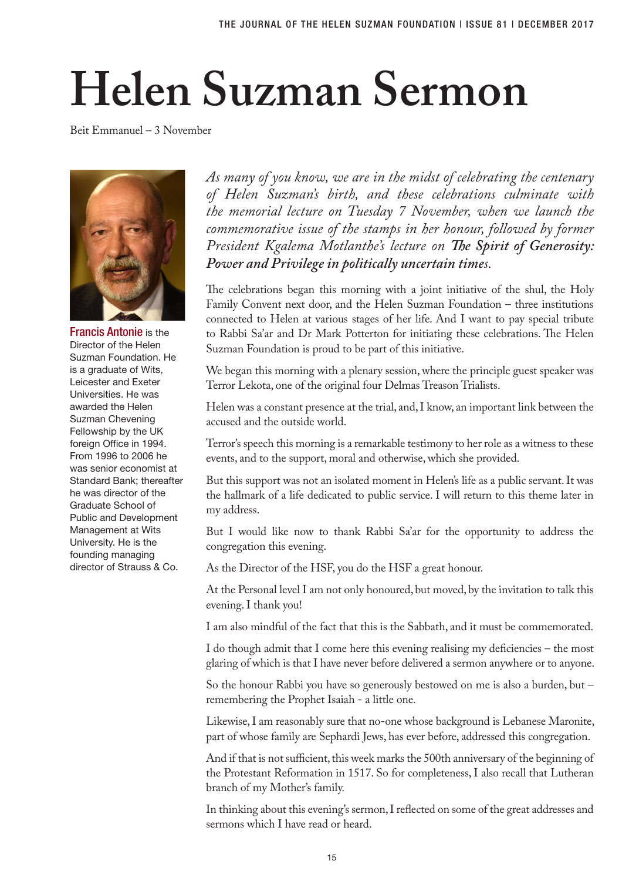## **Helen Suzman Sermon**

Beit Emmanuel – 3 November



Francis Antonie is the Director of the Helen Suzman Foundation. He is a graduate of Wits, Leicester and Exeter Universities. He was awarded the Helen Suzman Chevening Fellowship by the UK foreign Office in 1994. From 1996 to 2006 he was senior economist at Standard Bank; thereafter he was director of the Graduate School of Public and Development Management at Wits University. He is the founding managing director of Strauss & Co.

*As many of you know, we are in the midst of celebrating the centenary of Helen Suzman's birth, and these celebrations culminate with the memorial lecture on Tuesday 7 November, when we launch the commemorative issue of the stamps in her honour, followed by former President Kgalema Motlanthe's lecture on The Spirit of Generosity: Power and Privilege in politically uncertain times.* 

The celebrations began this morning with a joint initiative of the shul, the Holy Family Convent next door, and the Helen Suzman Foundation – three institutions connected to Helen at various stages of her life. And I want to pay special tribute to Rabbi Sa'ar and Dr Mark Potterton for initiating these celebrations. The Helen Suzman Foundation is proud to be part of this initiative.

We began this morning with a plenary session, where the principle guest speaker was Terror Lekota, one of the original four Delmas Treason Trialists.

Helen was a constant presence at the trial, and, I know, an important link between the accused and the outside world.

Terror's speech this morning is a remarkable testimony to her role as a witness to these events, and to the support, moral and otherwise, which she provided.

But this support was not an isolated moment in Helen's life as a public servant. It was the hallmark of a life dedicated to public service. I will return to this theme later in my address.

But I would like now to thank Rabbi Sa'ar for the opportunity to address the congregation this evening.

As the Director of the HSF, you do the HSF a great honour.

At the Personal level I am not only honoured, but moved, by the invitation to talk this evening. I thank you!

I am also mindful of the fact that this is the Sabbath, and it must be commemorated.

I do though admit that I come here this evening realising my deficiencies – the most glaring of which is that I have never before delivered a sermon anywhere or to anyone.

So the honour Rabbi you have so generously bestowed on me is also a burden, but – remembering the Prophet Isaiah - a little one.

Likewise, I am reasonably sure that no-one whose background is Lebanese Maronite, part of whose family are Sephardi Jews, has ever before, addressed this congregation.

And if that is not sufficient, this week marks the 500th anniversary of the beginning of the Protestant Reformation in 1517. So for completeness, I also recall that Lutheran branch of my Mother's family.

In thinking about this evening's sermon, I reflected on some of the great addresses and sermons which I have read or heard.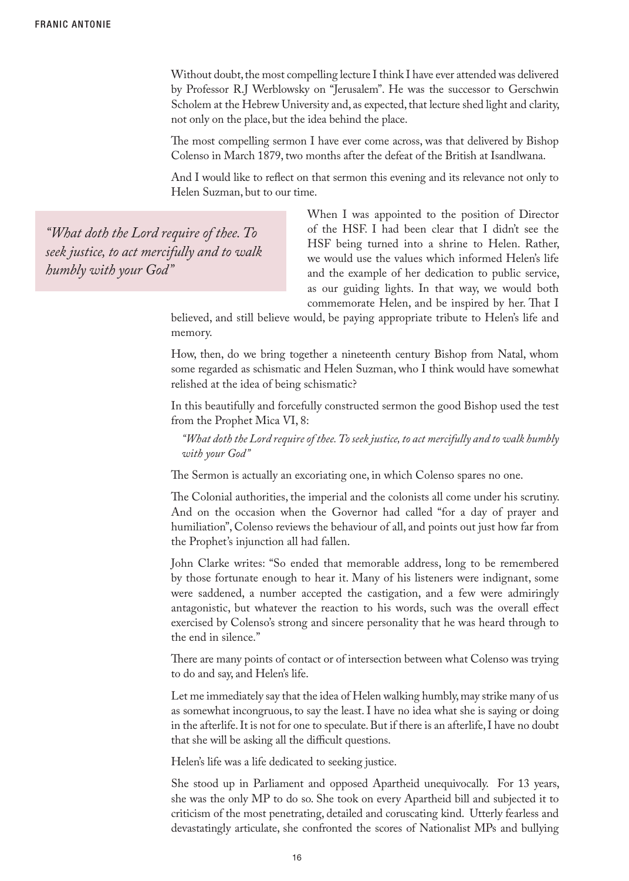Without doubt, the most compelling lecture I think I have ever attended was delivered by Professor R.J Werblowsky on "Jerusalem". He was the successor to Gerschwin Scholem at the Hebrew University and, as expected, that lecture shed light and clarity, not only on the place, but the idea behind the place.

The most compelling sermon I have ever come across, was that delivered by Bishop Colenso in March 1879, two months after the defeat of the British at Isandlwana.

And I would like to reflect on that sermon this evening and its relevance not only to Helen Suzman, but to our time.

*"What doth the Lord require of thee. To seek justice, to act mercifully and to walk humbly with your God"*

When I was appointed to the position of Director of the HSF. I had been clear that I didn't see the HSF being turned into a shrine to Helen. Rather, we would use the values which informed Helen's life and the example of her dedication to public service, as our guiding lights. In that way, we would both commemorate Helen, and be inspired by her. That I

believed, and still believe would, be paying appropriate tribute to Helen's life and memory.

How, then, do we bring together a nineteenth century Bishop from Natal, whom some regarded as schismatic and Helen Suzman, who I think would have somewhat relished at the idea of being schismatic?

In this beautifully and forcefully constructed sermon the good Bishop used the test from the Prophet Mica VI, 8:

*"What doth the Lord require of thee. To seek justice, to act mercifully and to walk humbly with your God"*

The Sermon is actually an excoriating one, in which Colenso spares no one.

The Colonial authorities, the imperial and the colonists all come under his scrutiny. And on the occasion when the Governor had called "for a day of prayer and humiliation", Colenso reviews the behaviour of all, and points out just how far from the Prophet's injunction all had fallen.

John Clarke writes: "So ended that memorable address, long to be remembered by those fortunate enough to hear it. Many of his listeners were indignant, some were saddened, a number accepted the castigation, and a few were admiringly antagonistic, but whatever the reaction to his words, such was the overall effect exercised by Colenso's strong and sincere personality that he was heard through to the end in silence."

There are many points of contact or of intersection between what Colenso was trying to do and say, and Helen's life.

Let me immediately say that the idea of Helen walking humbly, may strike many of us as somewhat incongruous, to say the least. I have no idea what she is saying or doing in the afterlife. It is not for one to speculate. But if there is an afterlife, I have no doubt that she will be asking all the difficult questions.

Helen's life was a life dedicated to seeking justice.

She stood up in Parliament and opposed Apartheid unequivocally. For 13 years, she was the only MP to do so. She took on every Apartheid bill and subjected it to criticism of the most penetrating, detailed and coruscating kind. Utterly fearless and devastatingly articulate, she confronted the scores of Nationalist MPs and bullying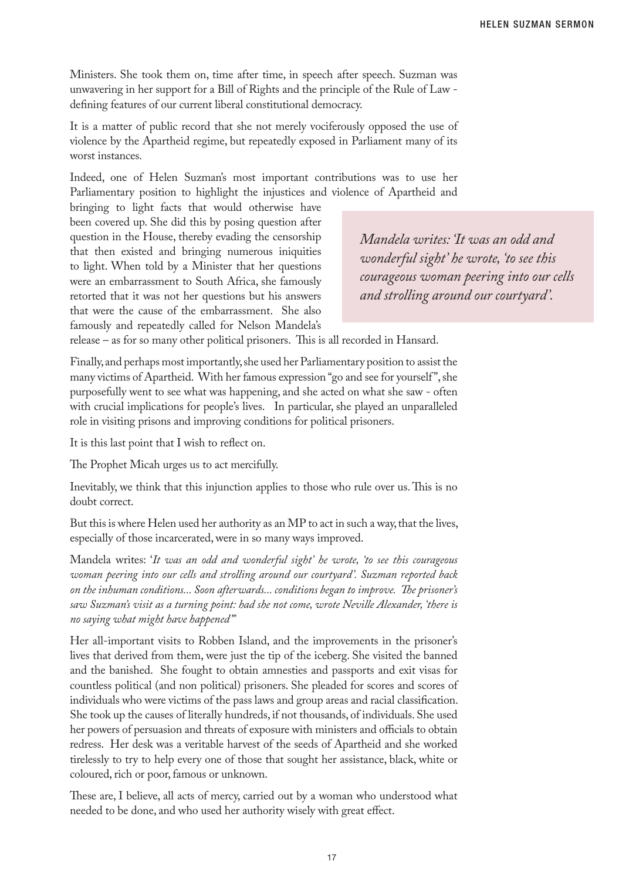Ministers. She took them on, time after time, in speech after speech. Suzman was unwavering in her support for a Bill of Rights and the principle of the Rule of Law defining features of our current liberal constitutional democracy.

It is a matter of public record that she not merely vociferously opposed the use of violence by the Apartheid regime, but repeatedly exposed in Parliament many of its worst instances.

Indeed, one of Helen Suzman's most important contributions was to use her Parliamentary position to highlight the injustices and violence of Apartheid and

bringing to light facts that would otherwise have been covered up. She did this by posing question after question in the House, thereby evading the censorship that then existed and bringing numerous iniquities to light. When told by a Minister that her questions were an embarrassment to South Africa, she famously retorted that it was not her questions but his answers that were the cause of the embarrassment. She also famously and repeatedly called for Nelson Mandela's

*Mandela writes: 'It was an odd and wonderful sight' he wrote, 'to see this courageous woman peering into our cells and strolling around our courtyard'.*

release – as for so many other political prisoners. This is all recorded in Hansard.

Finally, and perhaps most importantly, she used her Parliamentary position to assist the many victims of Apartheid. With her famous expression "go and see for yourself ", she purposefully went to see what was happening, and she acted on what she saw - often with crucial implications for people's lives. In particular, she played an unparalleled role in visiting prisons and improving conditions for political prisoners.

It is this last point that I wish to reflect on.

The Prophet Micah urges us to act mercifully.

Inevitably, we think that this injunction applies to those who rule over us. This is no doubt correct.

But this is where Helen used her authority as an MP to act in such a way, that the lives, especially of those incarcerated, were in so many ways improved.

Mandela writes: '*It was an odd and wonderful sight' he wrote, 'to see this courageous woman peering into our cells and strolling around our courtyard'. Suzman reported back on the inhuman conditions... Soon afterwards... conditions began to improve. The prisoner's saw Suzman's visit as a turning point: had she not come, wrote Neville Alexander, 'there is no saying what might have happened'"* 

Her all-important visits to Robben Island, and the improvements in the prisoner's lives that derived from them, were just the tip of the iceberg. She visited the banned and the banished. She fought to obtain amnesties and passports and exit visas for countless political (and non political) prisoners. She pleaded for scores and scores of individuals who were victims of the pass laws and group areas and racial classification. She took up the causes of literally hundreds, if not thousands, of individuals. She used her powers of persuasion and threats of exposure with ministers and officials to obtain redress. Her desk was a veritable harvest of the seeds of Apartheid and she worked tirelessly to try to help every one of those that sought her assistance, black, white or coloured, rich or poor, famous or unknown.

These are, I believe, all acts of mercy, carried out by a woman who understood what needed to be done, and who used her authority wisely with great effect.